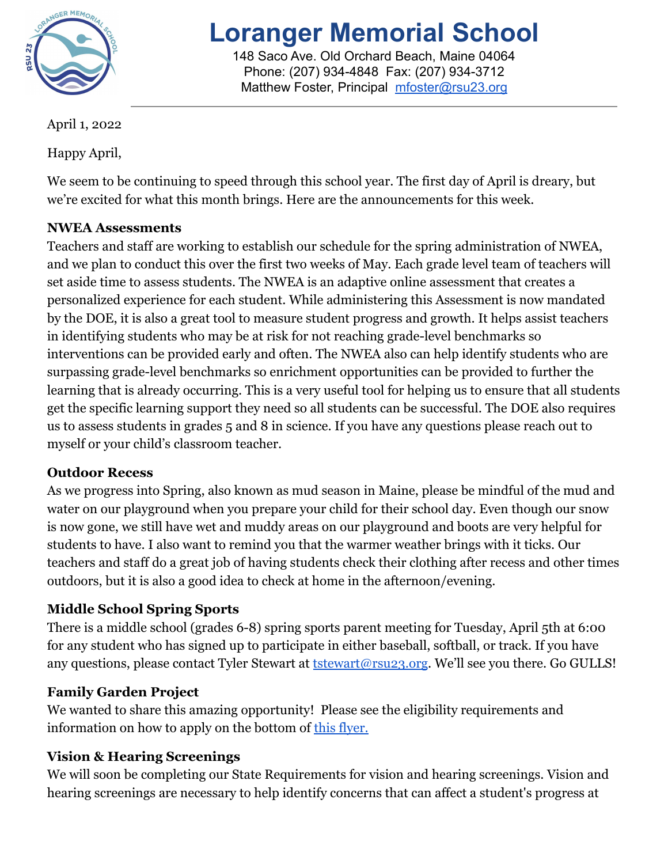

# **Loranger Memorial School**

148 Saco Ave. Old Orchard Beach, Maine 04064 Phone: (207) 934-4848 Fax: (207) 934-3712 Matthew Foster, Principal [mfoster@rsu23.org](mailto:mfoster@rsu23.org)

April 1, 2022

Happy April,

We seem to be continuing to speed through this school year. The first day of April is dreary, but we're excited for what this month brings. Here are the announcements for this week.

# **NWEA Assessments**

Teachers and staff are working to establish our schedule for the spring administration of NWEA, and we plan to conduct this over the first two weeks of May. Each grade level team of teachers will set aside time to assess students. The NWEA is an adaptive online assessment that creates a personalized experience for each student. While administering this Assessment is now mandated by the DOE, it is also a great tool to measure student progress and growth. It helps assist teachers in identifying students who may be at risk for not reaching grade-level benchmarks so interventions can be provided early and often. The NWEA also can help identify students who are surpassing grade-level benchmarks so enrichment opportunities can be provided to further the learning that is already occurring. This is a very useful tool for helping us to ensure that all students get the specific learning support they need so all students can be successful. The DOE also requires us to assess students in grades 5 and 8 in science. If you have any questions please reach out to myself or your child's classroom teacher.

## **Outdoor Recess**

As we progress into Spring, also known as mud season in Maine, please be mindful of the mud and water on our playground when you prepare your child for their school day. Even though our snow is now gone, we still have wet and muddy areas on our playground and boots are very helpful for students to have. I also want to remind you that the warmer weather brings with it ticks. Our teachers and staff do a great job of having students check their clothing after recess and other times outdoors, but it is also a good idea to check at home in the afternoon/evening.

# **Middle School Spring Sports**

There is a middle school (grades 6-8) spring sports parent meeting for Tuesday, April 5th at 6:00 for any student who has signed up to participate in either baseball, softball, or track. If you have any questions, please contact Tyler Stewart at **[tstewart@rsu23.org](mailto:tstewart@rsu23.org)**. We'll see you there. Go GULLS!

# **Family Garden Project**

We wanted to share this amazing opportunity! Please see the eligibility requirements and information on how to apply on the bottom of this [flyer.](https://drive.google.com/file/d/1VSmsWLnnM4Cr3IhdWYKV_5og0M250oxV/preview)

## **Vision & Hearing Screenings**

We will soon be completing our State Requirements for vision and hearing screenings. Vision and hearing screenings are necessary to help identify concerns that can affect a student's progress at